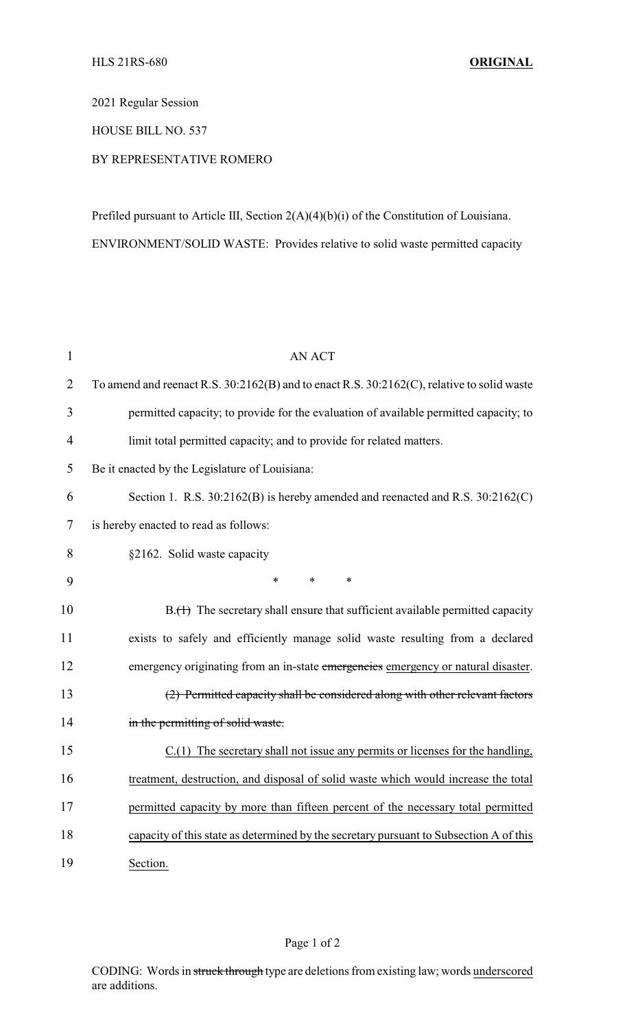2021 Regular Session

HOUSE BILL NO. 537

## BY REPRESENTATIVE ROMERO

Prefiled pursuant to Article III, Section 2(A)(4)(b)(i) of the Constitution of Louisiana. ENVIRONMENT/SOLID WASTE: Provides relative to solid waste permitted capacity

| $\mathbf{1}$   | <b>AN ACT</b>                                                                              |
|----------------|--------------------------------------------------------------------------------------------|
| $\overline{2}$ | To amend and reenact R.S. 30:2162(B) and to enact R.S. 30:2162(C), relative to solid waste |
| 3              | permitted capacity; to provide for the evaluation of available permitted capacity; to      |
| $\overline{4}$ | limit total permitted capacity; and to provide for related matters.                        |
| 5              | Be it enacted by the Legislature of Louisiana:                                             |
| 6              | Section 1. R.S. 30:2162(B) is hereby amended and reenacted and R.S. 30:2162(C)             |
| 7              | is hereby enacted to read as follows:                                                      |
| 8              | §2162. Solid waste capacity                                                                |
| 9              | $\ast$<br>*<br>$\ast$                                                                      |
| 10             | $B1(H)$ The secretary shall ensure that sufficient available permitted capacity            |
| 11             | exists to safely and efficiently manage solid waste resulting from a declared              |
| 12             | emergency originating from an in-state emergencies emergency or natural disaster.          |
| 13             | (2) Permitted capacity shall be considered along with other relevant factors               |
| 14             | in the permitting of solid waste.                                                          |
| 15             | $C(1)$ The secretary shall not issue any permits or licenses for the handling,             |
| 16             | treatment, destruction, and disposal of solid waste which would increase the total         |
| 17             | permitted capacity by more than fifteen percent of the necessary total permitted           |
| 18             | capacity of this state as determined by the secretary pursuant to Subsection A of this     |
| 19             | Section.                                                                                   |